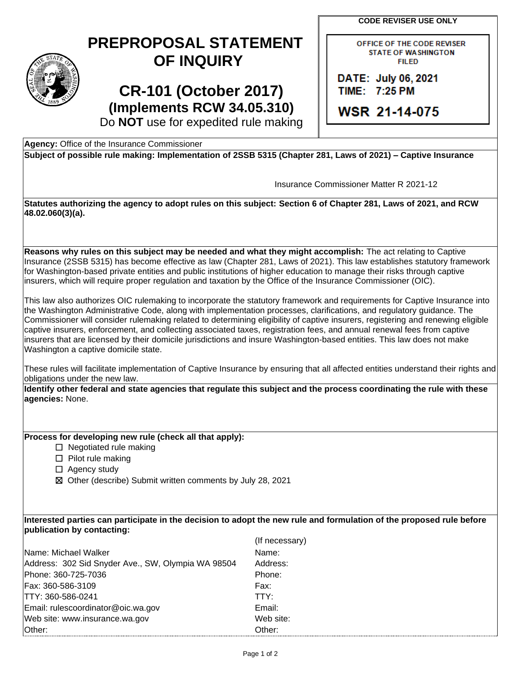**CODE REVISER USE ONLY** 

| STATE<br>Ġ.<br>r |
|------------------|
| 1889             |

## **PREPROPOSAL STATEMENT OF INQUIRY**

**CR-101 (October 2017) (Implements RCW 34.05.310)**  OFFICE OF THE CODE REVISER STATE OF WASHINGTON **FILED** 

DATE: July 06, 2021 TIIME: 7:25, PM

**WSR 21-14-075** 

Do **NOT** use for expedited rule making

**Agency:** Office of the Insurance Commissioner

 **Subject of possible rule making: Implementation of 2SSB 5315 (Chapter 281, Laws of 2021) – Captive Insurance** 

Insurance Commissioner Matter R 2021-12

 **Statutes authorizing the agency to adopt rules on this subject: Section 6 of Chapter 281, Laws of 2021, and RCW 48.02.060(3)(a).** 

**Reasons why rules on this subject may be needed and what they might accomplish:** The act relating to Captive Insurance (2SSB 5315) has become effective as law (Chapter 281, Laws of 2021). This law establishes statutory framework for Washington-based private entities and public institutions of higher education to manage their risks through captive insurers, which will require proper regulation and taxation by the Office of the Insurance Commissioner (OIC).

This law also authorizes OIC rulemaking to incorporate the statutory framework and requirements for Captive Insurance into the Washington Administrative Code, along with implementation processes, clarifications, and regulatory guidance. The Commissioner will consider rulemaking related to determining eligibility of captive insurers, registering and renewing eligible captive insurers, enforcement, and collecting associated taxes, registration fees, and annual renewal fees from captive insurers that are licensed by their domicile jurisdictions and insure Washington-based entities. This law does not make Washington a captive domicile state.

 These rules will facilitate implementation of Captive Insurance by ensuring that all affected entities understand their rights and obligations under the new law.

**Identify other federal and state agencies that regulate this subject and the process coordinating the rule with these agencies:** None.

## **Process for developing new rule (check all that apply):**

- ☐ Negotiated rule making
- ☐ Pilot rule making
- □ Agency study
- ☒ Other (describe) Submit written comments by July 28, 2021

**Interested parties can participate in the decision to adopt the new rule and formulation of the proposed rule before publication by contacting:** 

|                                                    | (If necessary) |
|----------------------------------------------------|----------------|
| Name: Michael Walker                               | Name:          |
| Address: 302 Sid Snyder Ave., SW, Olympia WA 98504 | Address:       |
| Phone: 360-725-7036                                | Phone:         |
| Fax: 360-586-3109                                  | Fax:           |
| ITTY: 360-586-0241                                 | TTY:           |
| Email: rulescoordinator@oic.wa.gov                 | Email:         |
| Web site: www.insurance.wa.gov                     | Web site:      |
| Other:                                             | Other:         |
|                                                    |                |